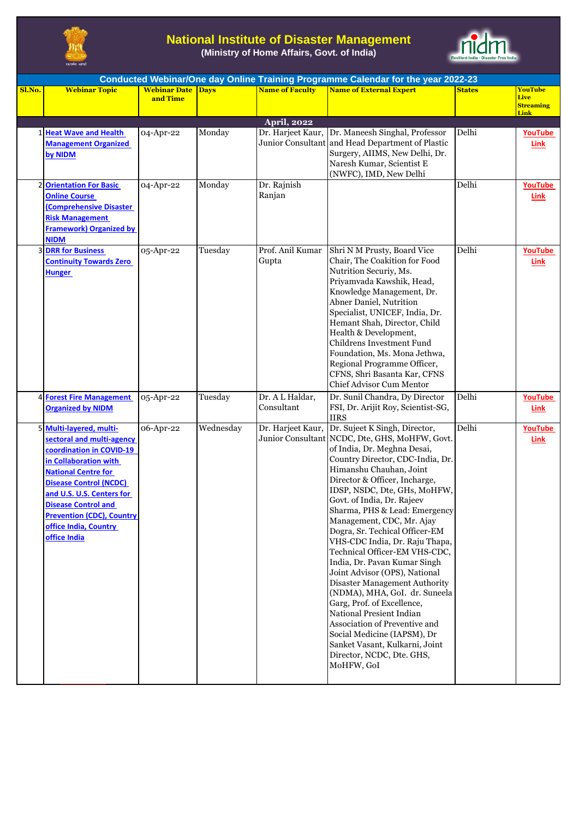

## **National Institute of Disaster Management**

**(Ministry of Home Affairs, Govt. of India)**



|        | Conducted Webinar/One day Online Training Programme Calendar for the year 2022-23                                                                                                                                                                                                                              |                          |           |                           |                                                                                                                                                                                                                                                                                                                                                                                                                                                                                                                                                                                                                                                                                                                                                                                           |               |                        |  |  |
|--------|----------------------------------------------------------------------------------------------------------------------------------------------------------------------------------------------------------------------------------------------------------------------------------------------------------------|--------------------------|-----------|---------------------------|-------------------------------------------------------------------------------------------------------------------------------------------------------------------------------------------------------------------------------------------------------------------------------------------------------------------------------------------------------------------------------------------------------------------------------------------------------------------------------------------------------------------------------------------------------------------------------------------------------------------------------------------------------------------------------------------------------------------------------------------------------------------------------------------|---------------|------------------------|--|--|
| Sl.No. | <b>Webinar Topic</b>                                                                                                                                                                                                                                                                                           | <b>Webinar Date Days</b> |           | <b>Name of Faculty</b>    | <b>Name of External Expert</b>                                                                                                                                                                                                                                                                                                                                                                                                                                                                                                                                                                                                                                                                                                                                                            | <b>States</b> | <b>YouTube</b><br>Live |  |  |
|        |                                                                                                                                                                                                                                                                                                                | and Time                 |           |                           |                                                                                                                                                                                                                                                                                                                                                                                                                                                                                                                                                                                                                                                                                                                                                                                           |               | <b>Streaming</b>       |  |  |
|        |                                                                                                                                                                                                                                                                                                                |                          |           |                           |                                                                                                                                                                                                                                                                                                                                                                                                                                                                                                                                                                                                                                                                                                                                                                                           |               | Link                   |  |  |
|        |                                                                                                                                                                                                                                                                                                                |                          |           | April, 2022               |                                                                                                                                                                                                                                                                                                                                                                                                                                                                                                                                                                                                                                                                                                                                                                                           |               |                        |  |  |
|        | 1 Heat Wave and Health<br><b>Management Organized</b><br>by NIDM                                                                                                                                                                                                                                               | 04-Apr-22                | Monday    | Dr. Harjeet Kaur,         | Dr. Maneesh Singhal, Professor<br>Junior Consultant and Head Department of Plastic<br>Surgery, AIIMS, New Delhi, Dr.<br>Naresh Kumar, Scientist E<br>(NWFC), IMD, New Delhi                                                                                                                                                                                                                                                                                                                                                                                                                                                                                                                                                                                                               | Delhi         | YouTube<br><b>Link</b> |  |  |
| 2      | <b>Orientation For Basic</b><br><b>Online Course</b><br><b>Comprehensive Disaster</b><br><b>Risk Management</b><br><b>Framework) Organized by</b><br><b>NIDM</b>                                                                                                                                               | 04-Apr-22                | Monday    | Dr. Rajnish<br>Ranjan     |                                                                                                                                                                                                                                                                                                                                                                                                                                                                                                                                                                                                                                                                                                                                                                                           | Delhi         | YouTube<br><b>Link</b> |  |  |
|        | <b>3 DRR for Business</b><br><b>Continuity Towards Zero</b><br><b>Hunger</b>                                                                                                                                                                                                                                   | 05-Apr-22                | Tuesday   | Prof. Anil Kumar<br>Gupta | Shri N M Prusty, Board Vice<br>Chair, The Coakition for Food<br>Nutrition Securiy, Ms.<br>Priyamvada Kawshik, Head,<br>Knowledge Management, Dr.<br><b>Abner Daniel, Nutrition</b><br>Specialist, UNICEF, India, Dr.<br>Hemant Shah, Director, Child<br>Health & Development,<br>Childrens Investment Fund<br>Foundation, Ms. Mona Jethwa,<br>Regional Programme Officer,<br>CFNS, Shri Basanta Kar, CFNS<br><b>Chief Advisor Cum Mentor</b>                                                                                                                                                                                                                                                                                                                                              | Delhi         | <b>YouTube</b><br>Link |  |  |
|        | 4 Forest Fire Management                                                                                                                                                                                                                                                                                       | 05-Apr-22                | Tuesday   | Dr. A L Haldar,           | Dr. Sunil Chandra, Dy Director                                                                                                                                                                                                                                                                                                                                                                                                                                                                                                                                                                                                                                                                                                                                                            | Delhi         | <b>YouTube</b>         |  |  |
|        | <b>Organized by NIDM</b>                                                                                                                                                                                                                                                                                       |                          |           | Consultant                | FSI, Dr. Arijit Roy, Scientist-SG,<br><b>IIRS</b>                                                                                                                                                                                                                                                                                                                                                                                                                                                                                                                                                                                                                                                                                                                                         |               | Link                   |  |  |
| 5      | Multi-layered, multi-<br>sectoral and multi-agency<br>coordination in COVID-19<br>in Collaboration with<br><b>National Centre for</b><br><b>Disease Control (NCDC)</b><br>and U.S. U.S. Centers for<br><b>Disease Control and</b><br><b>Prevention (CDC), Country</b><br>office India, Country<br>office India | 06-Apr-22                | Wednesday | Dr. Harjeet Kaur,         | Dr. Sujeet K Singh, Director,<br>Junior Consultant NCDC, Dte, GHS, MoHFW, Govt.<br>of India, Dr. Meghna Desai,<br>Country Director, CDC-India, Dr.<br>Himanshu Chauhan, Joint<br>Director & Officer, Incharge,<br>IDSP, NSDC, Dte, GHs, MoHFW,<br>Govt. of India, Dr. Rajeev<br>Sharma, PHS & Lead: Emergency<br>Management, CDC, Mr. Ajay<br>Dogra, Sr. Techical Officer-EM<br>VHS-CDC India, Dr. Raju Thapa,<br>Technical Officer-EM VHS-CDC,<br>India, Dr. Pavan Kumar Singh<br>Joint Advisor (OPS), National<br>Disaster Management Authority<br>(NDMA), MHA, GoI. dr. Suneela<br>Garg, Prof. of Excellence,<br>National Presient Indian<br>Association of Preventive and<br>Social Medicine (IAPSM), Dr<br>Sanket Vasant, Kulkarni, Joint<br>Director, NCDC, Dte. GHS,<br>MoHFW, GoI | Delhi         | YouTube<br>Link        |  |  |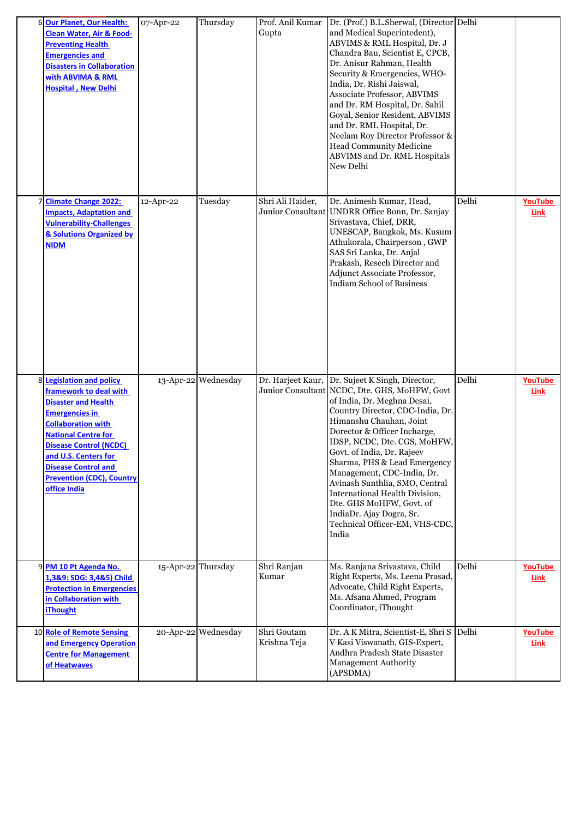| 6 Our Planet, Our Health:<br><b>Clean Water, Air &amp; Food-</b><br><b>Preventing Health</b><br><b>Emergencies and</b><br><b>Disasters in Collaboration</b><br>with ABVIMA & RML<br><b>Hospital, New Delhi</b>                                                                                                         | 07-Apr-22          | Thursday            | Prof. Anil Kumar<br>Gupta   | Dr. (Prof.) B.L.Sherwal, (Director Delhi<br>and Medical Superintedent),<br>ABVIMS & RML Hospital, Dr. J<br>Chandra Bau, Scientist E, CPCB,<br>Dr. Anisur Rahman, Health<br>Security & Emergencies, WHO-<br>India, Dr. Rishi Jaiswal,<br>Associate Professor, ABVIMS<br>and Dr. RM Hospital, Dr. Sahil<br>Goyal, Senior Resident, ABVIMS<br>and Dr. RML Hospital, Dr.<br>Neelam Roy Director Professor &<br>Head Community Medicine<br>ABVIMS and Dr. RML Hospitals<br>New Delhi                                                   |       |                               |
|------------------------------------------------------------------------------------------------------------------------------------------------------------------------------------------------------------------------------------------------------------------------------------------------------------------------|--------------------|---------------------|-----------------------------|-----------------------------------------------------------------------------------------------------------------------------------------------------------------------------------------------------------------------------------------------------------------------------------------------------------------------------------------------------------------------------------------------------------------------------------------------------------------------------------------------------------------------------------|-------|-------------------------------|
| 7 Climate Change 2022:<br><b>Impacts, Adaptation and</b><br><b>Vulnerability-Challenges</b><br>& Solutions Organized by<br><b>NIDM</b>                                                                                                                                                                                 | 12-Apr-22          | Tuesday             | Shri Ali Haider,            | Dr. Animesh Kumar, Head,<br>Junior Consultant UNDRR Office Bonn, Dr. Sanjay<br>Srivastava, Chief, DRR,<br>UNESCAP, Bangkok, Ms. Kusum<br>Athukorala, Chairperson, GWP<br>SAS Sri Lanka, Dr. Anjal<br>Prakash, Resech Director and<br>Adjunct Associate Professor,<br><b>Indiam School of Business</b>                                                                                                                                                                                                                             | Delhi | YouTube<br>Link               |
| 8 Legislation and policy<br><b>framework to deal with</b><br><b>Disaster and Health</b><br><b>Emergencies in</b><br><b>Collaboration with</b><br><b>National Centre for</b><br><b>Disease Control (NCDC)</b><br>and U.S. Centers for<br><b>Disease Control and</b><br><b>Prevention (CDC), Country</b><br>office India |                    | 13-Apr-22 Wednesday |                             | Dr. Harjeet Kaur, Dr. Sujeet K Singh, Director,<br>Junior Consultant NCDC, Dte. GHS, MoHFW, Govt<br>of India, Dr. Meghna Desai,<br>Country Director, CDC-India, Dr.<br>Himanshu Chauhan, Joint<br>Dorector & Officer Incharge,<br>IDSP, NCDC, Dte. CGS, MoHFW,<br>Govt. of India, Dr. Rajeev<br>Sharma, PHS & Lead Emergency<br>Management, CDC-India, Dr.<br>Avinash Sunthlia, SMO, Central<br>International Health Division,<br>Dte. GHS MoHFW, Govt. of<br>IndiaDr. Ajay Dogra, Sr.<br>Technical Officer-EM, VHS-CDC,<br>India | Delhi | <b>YouTube</b><br>Link        |
| 9 PM 10 Pt Agenda No.<br>1,3&9: SDG: 3,4&5) Child<br><b>Protection in Emergencies</b><br>in Collaboration with<br><b>iThought</b>                                                                                                                                                                                      | 15-Apr-22 Thursday |                     | Shri Ranjan<br>Kumar        | Ms. Ranjana Srivastava, Child<br>Right Experts, Ms. Leena Prasad,<br>Advocate, Child Right Experts,<br>Ms. Afsana Ahmed, Program<br>Coordinator, iThought                                                                                                                                                                                                                                                                                                                                                                         | Delhi | <b>YouTube</b><br><b>Link</b> |
| 10 Role of Remote Sensing<br>and Emergency Operation<br><b>Centre for Management</b><br>of Heatwaves                                                                                                                                                                                                                   |                    | 20-Apr-22 Wednesday | Shri Goutam<br>Krishna Teja | Dr. A K Mitra, Scientist-E, Shri S Delhi<br>V Kasi Viswanath, GIS-Expert,<br>Andhra Pradesh State Disaster<br>Management Authority<br>(APSDMA)                                                                                                                                                                                                                                                                                                                                                                                    |       | YouTube<br>Link               |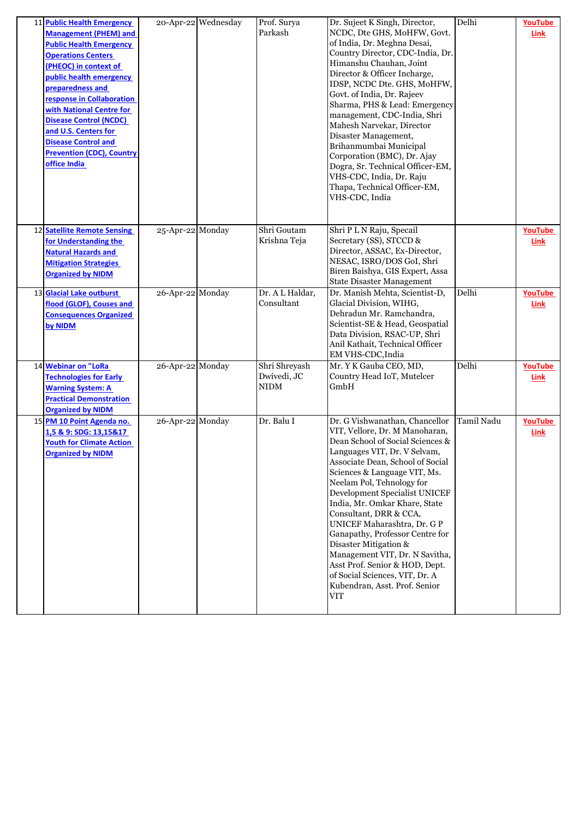| 11 Public Health Emergency<br><b>Management (PHEM) and</b><br><b>Public Health Emergency</b><br><b>Operations Centers</b><br>(PHEOC) in context of<br>public health emergency<br>preparedness and<br>response in Collaboration<br>with National Centre for<br><b>Disease Control (NCDC)</b><br>and U.S. Centers for<br><b>Disease Control and</b><br><b>Prevention (CDC), Country</b><br>office India |                  | 20-Apr-22 Wednesday | Prof. Surya<br>Parkash               | Dr. Sujeet K Singh, Director,<br>NCDC, Dte GHS, MoHFW, Govt.<br>of India, Dr. Meghna Desai,<br>Country Director, CDC-India, Dr.<br>Himanshu Chauhan, Joint<br>Director & Officer Incharge,<br>IDSP, NCDC Dte. GHS, MoHFW,<br>Govt. of India, Dr. Rajeev<br>Sharma, PHS & Lead: Emergency<br>management, CDC-India, Shri<br>Mahesh Narvekar, Director<br>Disaster Management,<br>Brihanmumbai Municipal<br>Corporation (BMC), Dr. Ajay<br>Dogra, Sr. Technical Officer-EM,<br>VHS-CDC, India, Dr. Raju<br>Thapa, Technical Officer-EM,<br>VHS-CDC, India                           | Delhi      | YouTube<br>Link        |
|-------------------------------------------------------------------------------------------------------------------------------------------------------------------------------------------------------------------------------------------------------------------------------------------------------------------------------------------------------------------------------------------------------|------------------|---------------------|--------------------------------------|-----------------------------------------------------------------------------------------------------------------------------------------------------------------------------------------------------------------------------------------------------------------------------------------------------------------------------------------------------------------------------------------------------------------------------------------------------------------------------------------------------------------------------------------------------------------------------------|------------|------------------------|
| 12 Satellite Remote Sensing<br>for Understanding the<br><b>Natural Hazards and</b><br><b>Mitigation Strategies</b><br><b>Organized by NIDM</b>                                                                                                                                                                                                                                                        | 25-Apr-22 Monday |                     | Shri Goutam<br>Krishna Teja          | Shri P L N Raju, Specail<br>Secretary (SS), STCCD &<br>Director, ASSAC, Ex-Director,<br>NESAC, ISRO/DOS GoI, Shri<br>Biren Baishya, GIS Expert, Assa<br><b>State Disaster Management</b>                                                                                                                                                                                                                                                                                                                                                                                          |            | <b>YouTube</b><br>Link |
| 13 Glacial Lake outburst<br>flood (GLOF), Couses and<br><b>Consequences Organized</b><br>by NIDM                                                                                                                                                                                                                                                                                                      | 26-Apr-22 Monday |                     | Dr. A L Haldar,<br>Consultant        | Dr. Manish Mehta, Scientist-D,<br>Glacial Division, WIHG,<br>Dehradun Mr. Ramchandra,<br>Scientist-SE & Head, Geospatial<br>Data Division, RSAC-UP, Shri<br>Anil Kathait, Technical Officer<br>EM VHS-CDC, India                                                                                                                                                                                                                                                                                                                                                                  | Delhi      | YouTube<br>Link        |
| 14 Webinar on "LoRa<br><b>Technologies for Early</b><br><b>Warning System: A</b><br><b>Practical Demonstration</b><br><b>Organized by NIDM</b>                                                                                                                                                                                                                                                        | 26-Apr-22 Monday |                     | Shri Shreyash<br>Dwivedi, JC<br>NIDM | Mr. Y K Gauba CEO, MD,<br>Country Head IoT, Mutelcer<br>GmbH                                                                                                                                                                                                                                                                                                                                                                                                                                                                                                                      | Delhi      | <b>YouTube</b><br>Link |
| 15 PM 10 Point Agenda no.<br>1,5 & 9: SDG: 13,15&17<br><b>Youth for Climate Action</b><br><b>Organized by NIDM</b>                                                                                                                                                                                                                                                                                    | 26-Apr-22 Monday |                     | Dr. Balu I                           | Dr. G Vishwanathan, Chancellor<br>VIT, Vellore, Dr. M Manoharan,<br>Dean School of Social Sciences &<br>Languages VIT, Dr. V Selvam,<br>Associate Dean, School of Social<br>Sciences & Language VIT, Ms.<br>Neelam Pol, Tehnology for<br>Development Specialist UNICEF<br>India, Mr. Omkar Khare, State<br>Consultant, DRR & CCA,<br>UNICEF Maharashtra, Dr. G P<br>Ganapathy, Professor Centre for<br>Disaster Mitigation &<br>Management VIT, Dr. N Savitha,<br>Asst Prof. Senior & HOD, Dept.<br>of Social Sciences, VIT, Dr. A<br>Kubendran, Asst. Prof. Senior<br><b>VIT</b> | Tamil Nadu | YouTube<br>Link        |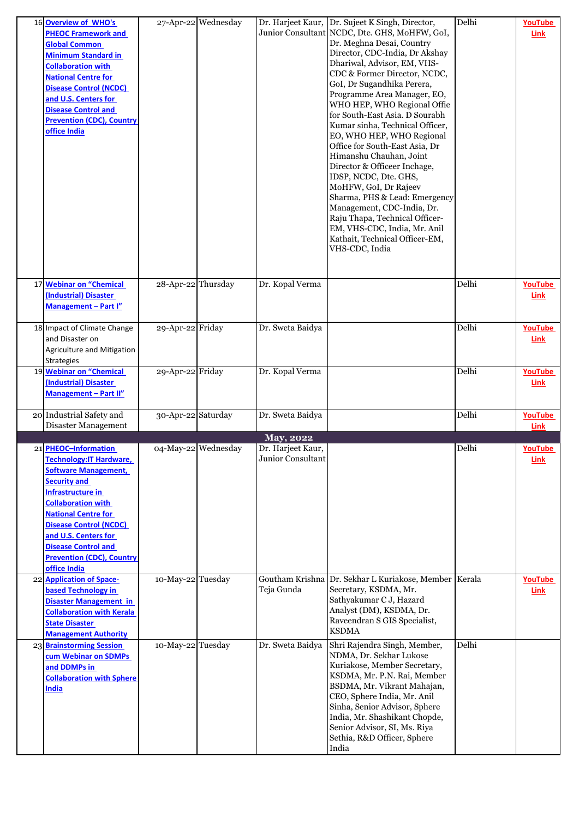| 16 Overview of WHO's<br><b>PHEOC Framework and</b><br><b>Global Common</b><br><b>Minimum Standard in</b><br><b>Collaboration with</b><br><b>National Centre for</b><br>Disease Control (NCDC)<br>and U.S. Centers for<br><b>Disease Control and</b><br><b>Prevention (CDC), Country</b><br>office India                    |                    | 27-Apr-22 Wednesday |                                        | Dr. Harjeet Kaur, Dr. Sujeet K Singh, Director,<br>Junior Consultant NCDC, Dte. GHS, MoHFW, GoI,<br>Dr. Meghna Desai, Country<br>Director, CDC-India, Dr Akshay<br>Dhariwal, Advisor, EM, VHS-<br>CDC & Former Director, NCDC,<br>GoI, Dr Sugandhika Perera,<br>Programme Area Manager, EO,<br>WHO HEP, WHO Regional Offie<br>for South-East Asia. D Sourabh<br>Kumar sinha, Technical Officer,<br>EO, WHO HEP, WHO Regional<br>Office for South-East Asia, Dr<br>Himanshu Chauhan, Joint<br>Director & Officeer Inchage,<br>IDSP, NCDC, Dte. GHS,<br>MoHFW, GoI, Dr Rajeev<br>Sharma, PHS & Lead: Emergency<br>Management, CDC-India, Dr.<br>Raju Thapa, Technical Officer-<br>EM, VHS-CDC, India, Mr. Anil<br>Kathait, Technical Officer-EM,<br>VHS-CDC, India | Delhi | <b>YouTube</b><br>Link |
|----------------------------------------------------------------------------------------------------------------------------------------------------------------------------------------------------------------------------------------------------------------------------------------------------------------------------|--------------------|---------------------|----------------------------------------|------------------------------------------------------------------------------------------------------------------------------------------------------------------------------------------------------------------------------------------------------------------------------------------------------------------------------------------------------------------------------------------------------------------------------------------------------------------------------------------------------------------------------------------------------------------------------------------------------------------------------------------------------------------------------------------------------------------------------------------------------------------|-------|------------------------|
| 17 Webinar on "Chemical<br>(Industrial) Disaster<br>Management - Part I"                                                                                                                                                                                                                                                   | 28-Apr-22 Thursday |                     | Dr. Kopal Verma                        |                                                                                                                                                                                                                                                                                                                                                                                                                                                                                                                                                                                                                                                                                                                                                                  | Delhi | YouTube<br>Link        |
| 18 Impact of Climate Change<br>and Disaster on<br>Agriculture and Mitigation<br><b>Strategies</b>                                                                                                                                                                                                                          | 29-Apr-22 Friday   |                     | Dr. Sweta Baidya                       |                                                                                                                                                                                                                                                                                                                                                                                                                                                                                                                                                                                                                                                                                                                                                                  | Delhi | <b>YouTube</b><br>Link |
| 19 Webinar on "Chemical<br>(Industrial) Disaster<br>Management - Part II"                                                                                                                                                                                                                                                  | 29-Apr-22 Friday   |                     | Dr. Kopal Verma                        |                                                                                                                                                                                                                                                                                                                                                                                                                                                                                                                                                                                                                                                                                                                                                                  | Delhi | <b>YouTube</b><br>Link |
| 20 Industrial Safety and<br>Disaster Management                                                                                                                                                                                                                                                                            | 30-Apr-22 Saturday |                     | Dr. Sweta Baidya                       |                                                                                                                                                                                                                                                                                                                                                                                                                                                                                                                                                                                                                                                                                                                                                                  | Delhi | YouTube<br>Link        |
|                                                                                                                                                                                                                                                                                                                            |                    |                     | May, 2022                              |                                                                                                                                                                                                                                                                                                                                                                                                                                                                                                                                                                                                                                                                                                                                                                  |       |                        |
| 21 PHEOC-Information<br>Technology: IT Hardware,<br><b>Software Management,</b><br><b>Security and</b><br>Infrastructure in<br><b>Collaboration with</b><br><b>National Centre for</b><br>Disease Control (NCDC)<br>and U.S. Centers for<br><b>Disease Control and</b><br><b>Prevention (CDC), Country</b><br>office India |                    | 04-May-22 Wednesday | Dr. Harjeet Kaur,<br>Junior Consultant |                                                                                                                                                                                                                                                                                                                                                                                                                                                                                                                                                                                                                                                                                                                                                                  | Delhi | YouTube<br>Link        |
| 22 Application of Space-<br>based Technology in<br><b>Disaster Management in</b><br><b>Collaboration with Kerala</b><br><b>State Disaster</b><br><b>Management Authority</b>                                                                                                                                               | 10-May-22 Tuesday  |                     | Teja Gunda                             | Goutham Krishna Dr. Sekhar L Kuriakose, Member   Kerala<br>Secretary, KSDMA, Mr.<br>Sathyakumar C J, Hazard<br>Analyst (DM), KSDMA, Dr.<br>Raveendran S GIS Specialist,<br><b>KSDMA</b>                                                                                                                                                                                                                                                                                                                                                                                                                                                                                                                                                                          |       | YouTube<br><b>Link</b> |
| 23 Brainstorming Session<br>cum Webinar on SDMPs<br>and DDMPs in<br><b>Collaboration with Sphere</b><br>India                                                                                                                                                                                                              | 10-May-22 Tuesday  |                     | Dr. Sweta Baidya                       | Shri Rajendra Singh, Member,<br>NDMA, Dr. Sekhar Lukose<br>Kuriakose, Member Secretary,<br>KSDMA, Mr. P.N. Rai, Member<br>BSDMA, Mr. Vikrant Mahajan,<br>CEO, Sphere India, Mr. Anil<br>Sinha, Senior Advisor, Sphere<br>India, Mr. Shashikant Chopde,<br>Senior Advisor, SI, Ms. Riya<br>Sethia, R&D Officer, Sphere<br>India                                                                                                                                                                                                                                                                                                                                                                                                                                   | Delhi |                        |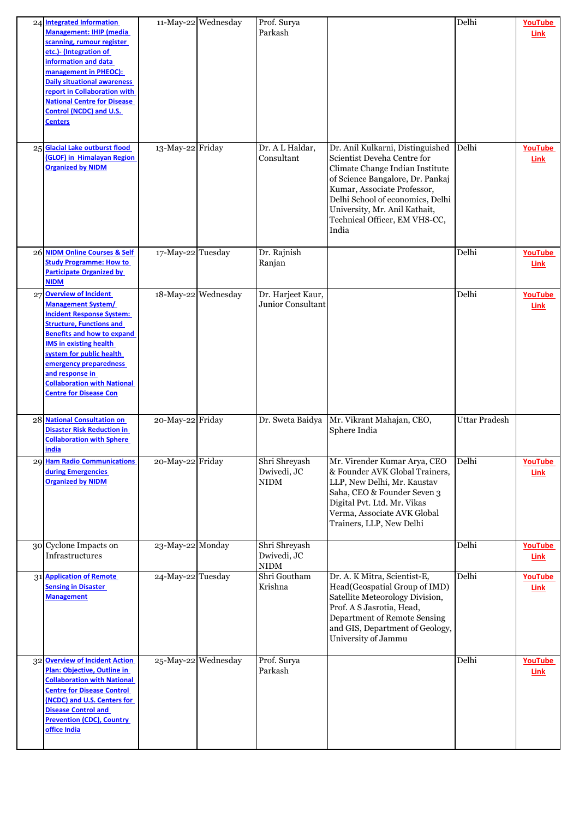|    | 24 Integrated Information<br><b>Management: IHIP (media</b><br>scanning, rumour register<br>etc.)- (Integration of<br>information and data<br>management in PHEOC):<br><b>Daily situational awareness</b><br>report in Collaboration with<br><b>National Centre for Disease</b><br><b>Control (NCDC) and U.S.</b><br>Centers                          |                   | 11-May-22 Wednesday | Prof. Surya<br>Parkash                          |                                                                                                                                                                                                                                                                                      | Delhi                | YouTube<br>Link        |
|----|-------------------------------------------------------------------------------------------------------------------------------------------------------------------------------------------------------------------------------------------------------------------------------------------------------------------------------------------------------|-------------------|---------------------|-------------------------------------------------|--------------------------------------------------------------------------------------------------------------------------------------------------------------------------------------------------------------------------------------------------------------------------------------|----------------------|------------------------|
|    | 25 Glacial Lake outburst flood<br>(GLOF) in Himalayan Region<br><b>Organized by NIDM</b>                                                                                                                                                                                                                                                              | 13-May-22 Friday  |                     | Dr. A L Haldar,<br>Consultant                   | Dr. Anil Kulkarni, Distinguished<br>Scientist Deveha Centre for<br>Climate Change Indian Institute<br>of Science Bangalore, Dr. Pankaj<br>Kumar, Associate Professor,<br>Delhi School of economics, Delhi<br>University, Mr. Anil Kathait,<br>Technical Officer, EM VHS-CC,<br>India | Delhi                | YouTube<br>Link        |
|    | 26 NIDM Online Courses & Self<br><b>Study Programme: How to</b><br><b>Participate Organized by</b><br><b>NIDM</b>                                                                                                                                                                                                                                     | 17-May-22 Tuesday |                     | Dr. Rajnish<br>Ranjan                           |                                                                                                                                                                                                                                                                                      | Delhi                | YouTube<br>Link        |
| 27 | <b>Overview of Incident</b><br><b>Management System/</b><br><b>Incident Response System:</b><br><b>Structure, Functions and</b><br><b>Benefits and how to expand</b><br><b>IMS in existing health</b><br>system for public health<br>emergency preparedness<br>and response in<br><b>Collaboration with National</b><br><b>Centre for Disease Con</b> |                   | 18-May-22 Wednesday | Dr. Harjeet Kaur,<br>Junior Consultant          |                                                                                                                                                                                                                                                                                      | Delhi                | YouTube<br><b>Link</b> |
|    | 28 National Consultation on<br><b>Disaster Risk Reduction in</b><br><b>Collaboration with Sphere</b><br>india                                                                                                                                                                                                                                         | 20-May-22 Friday  |                     | Dr. Sweta Baidya                                | Mr. Vikrant Mahajan, CEO,<br>Sphere India                                                                                                                                                                                                                                            | <b>Uttar Pradesh</b> |                        |
|    | 29 Ham Radio Communications<br>during Emergencies<br><b>Organized by NIDM</b>                                                                                                                                                                                                                                                                         | 20-May-22 Friday  |                     | Shri Shreyash<br>Dwivedi, JC<br><b>NIDM</b>     | Mr. Virender Kumar Arya, CEO<br>& Founder AVK Global Trainers,<br>LLP, New Delhi, Mr. Kaustav<br>Saha, CEO & Founder Seven 3<br>Digital Pvt. Ltd. Mr. Vikas<br>Verma, Associate AVK Global<br>Trainers, LLP, New Delhi                                                               | Delhi                | YouTube<br>Link        |
|    | 30 Cyclone Impacts on<br>Infrastructures                                                                                                                                                                                                                                                                                                              | 23-May-22 Monday  |                     | Shri Shreyash<br>Dwivedi, JC<br>$\mathbf{NIDM}$ |                                                                                                                                                                                                                                                                                      | Delhi                | YouTube<br>Link        |
|    | 31 Application of Remote<br><b>Sensing in Disaster</b><br><b>Management</b>                                                                                                                                                                                                                                                                           | 24-May-22 Tuesday |                     | Shri Goutham<br>Krishna                         | Dr. A. K Mitra, Scientist-E,<br>Head(Geospatial Group of IMD)<br>Satellite Meteorology Division,<br>Prof. A S Jasrotia, Head,<br>Department of Remote Sensing<br>and GIS, Department of Geology,<br>University of Jammu                                                              | Delhi                | YouTube<br><b>Link</b> |
|    | 32 Overview of Incident Action<br>Plan: Objective, Outline in<br><b>Collaboration with National</b><br><b>Centre for Disease Control</b><br>(NCDC) and U.S. Centers for<br><b>Disease Control and</b><br><b>Prevention (CDC), Country</b><br>office India                                                                                             |                   | 25-May-22 Wednesday | Prof. Surya<br>Parkash                          |                                                                                                                                                                                                                                                                                      | Delhi                | YouTube<br>Link        |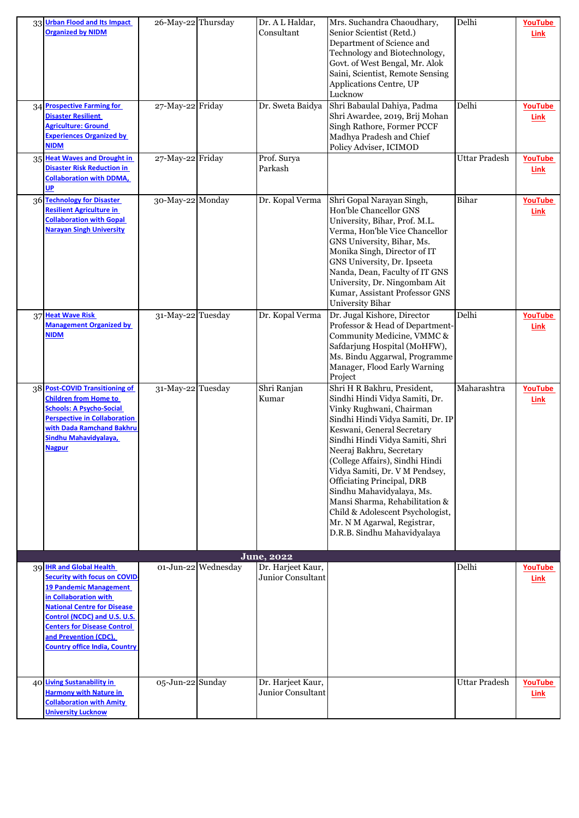| 33 Urban Flood and Its Impact<br><b>Organized by NIDM</b>                                                                                                                                                                                                                                              | 26-May-22 Thursday |                     | Dr. A L Haldar,<br>Consultant          | Mrs. Suchandra Chaoudhary,<br>Senior Scientist (Retd.)<br>Department of Science and<br>Technology and Biotechnology,<br>Govt. of West Bengal, Mr. Alok<br>Saini, Scientist, Remote Sensing<br>Applications Centre, UP<br>Lucknow                                                                                                                                                                                                                                                                | Delhi                | YouTube<br>Link        |
|--------------------------------------------------------------------------------------------------------------------------------------------------------------------------------------------------------------------------------------------------------------------------------------------------------|--------------------|---------------------|----------------------------------------|-------------------------------------------------------------------------------------------------------------------------------------------------------------------------------------------------------------------------------------------------------------------------------------------------------------------------------------------------------------------------------------------------------------------------------------------------------------------------------------------------|----------------------|------------------------|
| 34 Prospective Farming for<br><b>Disaster Resilient</b><br><b>Agriculture: Ground</b><br><b>Experiences Organized by</b><br><b>NIDM</b>                                                                                                                                                                | 27-May-22 Friday   |                     | Dr. Sweta Baidya                       | Shri Babaulal Dahiya, Padma<br>Shri Awardee, 2019, Brij Mohan<br>Singh Rathore, Former PCCF<br>Madhya Pradesh and Chief<br>Policy Adviser, ICIMOD                                                                                                                                                                                                                                                                                                                                               | Delhi                | YouTube<br>Link        |
| 35 Heat Waves and Drought in<br><b>Disaster Risk Reduction in</b><br><b>Collaboration with DDMA,</b><br>UP                                                                                                                                                                                             | 27-May-22 Friday   |                     | Prof. Surya<br>Parkash                 |                                                                                                                                                                                                                                                                                                                                                                                                                                                                                                 | <b>Uttar Pradesh</b> | YouTube<br>Link        |
| 36 Technology for Disaster<br><b>Resilient Agriculture in</b><br><b>Collaboration with Gopal</b><br><b>Narayan Singh University</b>                                                                                                                                                                    | 30-May-22 Monday   |                     | Dr. Kopal Verma                        | Shri Gopal Narayan Singh,<br>Hon'ble Chancellor GNS<br>University, Bihar, Prof. M.L.<br>Verma, Hon'ble Vice Chancellor<br>GNS University, Bihar, Ms.<br>Monika Singh, Director of IT<br>GNS University, Dr. Ipseeta<br>Nanda, Dean, Faculty of IT GNS<br>University, Dr. Ningombam Ait<br>Kumar, Assistant Professor GNS<br>University Bihar                                                                                                                                                    | Bihar                | YouTube<br>Link        |
| 37 Heat Wave Risk<br><b>Management Organized by</b><br>NIDM                                                                                                                                                                                                                                            | 31-May-22 Tuesday  |                     | Dr. Kopal Verma                        | Dr. Jugal Kishore, Director<br>Professor & Head of Department-<br>Community Medicine, VMMC &<br>Safdarjung Hospital (MoHFW),<br>Ms. Bindu Aggarwal, Programme<br>Manager, Flood Early Warning<br>Project                                                                                                                                                                                                                                                                                        | Delhi                | YouTube<br>Link        |
| 38 Post-COVID Transitioning of<br><b>Children from Home to</b><br><b>Schools: A Psycho-Social</b><br><b>Perspective in Collaboration</b><br>with Dada Ramchand Bakhru<br>Sindhu Mahavidyalaya,<br><b>Nagpur</b>                                                                                        | 31-May-22 Tuesday  |                     | Shri Ranjan<br>Kumar                   | Shri H R Bakhru, President,<br>Sindhi Hindi Vidya Samiti, Dr.<br>Vinky Rughwani, Chairman<br>Sindhi Hindi Vidya Samiti, Dr. IP<br>Keswani, General Secretary<br>Sindhi Hindi Vidya Samiti, Shri<br>Neeraj Bakhru, Secretary<br>(College Affairs), Sindhi Hindi<br>Vidya Samiti, Dr. V M Pendsey,<br>Officiating Principal, DRB<br>Sindhu Mahavidyalaya, Ms.<br>Mansi Sharma, Rehabilitation &<br>Child & Adolescent Psychologist,<br>Mr. N M Agarwal, Registrar,<br>D.R.B. Sindhu Mahavidyalaya | Maharashtra          | YouTube<br>Link        |
|                                                                                                                                                                                                                                                                                                        |                    |                     | <b>June</b> , 2022                     |                                                                                                                                                                                                                                                                                                                                                                                                                                                                                                 |                      |                        |
| 39 IHR and Global Health<br><b>Security with focus on COVID</b><br><b>19 Pandemic Management</b><br>in Collaboration with<br><b>National Centre for Disease</b><br>Control (NCDC) and U.S. U.S.<br><b>Centers for Disease Control</b><br>and Prevention (CDC),<br><b>Country office India, Country</b> |                    | 01-Jun-22 Wednesday | Dr. Harjeet Kaur,<br>Junior Consultant |                                                                                                                                                                                                                                                                                                                                                                                                                                                                                                 | Delhi                | YouTube<br>Link        |
| 40 Living Sustanability in<br><b>Harmony with Nature in</b><br><b>Collaboration with Amity</b><br><b>Jniversity Lucknow</b>                                                                                                                                                                            | 05-Jun-22 Sunday   |                     | Dr. Harjeet Kaur,<br>Junior Consultant |                                                                                                                                                                                                                                                                                                                                                                                                                                                                                                 | <b>Uttar Pradesh</b> | <b>YouTube</b><br>Link |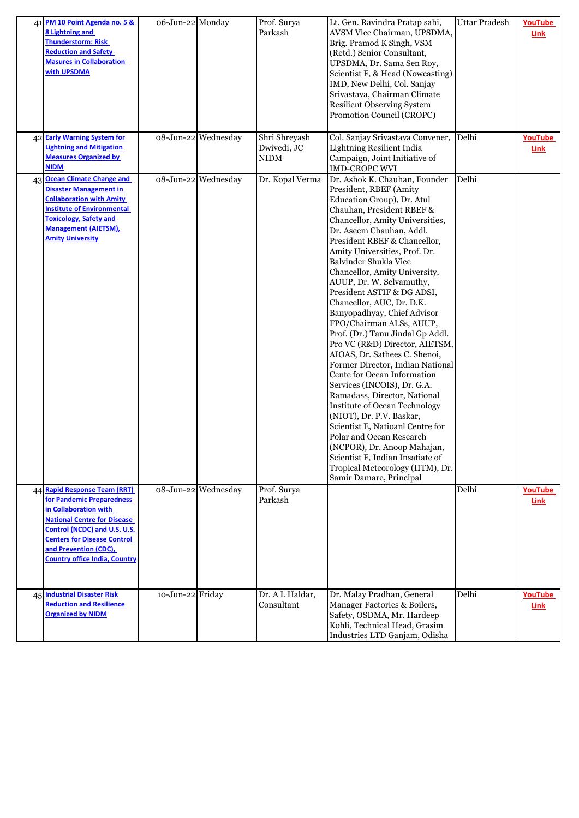| 41 PM 10 Point Agenda no. 5 &<br>8 Lightning and<br><b>Thunderstorm: Risk</b><br><b>Reduction and Safety</b><br><b>Masures in Collaboration</b><br>with UPSDMA                                                                                                  | 06-Jun-22 Monday |                     | Prof. Surya<br>Parkash               | Lt. Gen. Ravindra Pratap sahi,<br>AVSM Vice Chairman, UPSDMA,<br>Brig. Pramod K Singh, VSM<br>(Retd.) Senior Consultant,<br>UPSDMA, Dr. Sama Sen Roy,<br>Scientist F, & Head (Nowcasting)<br>IMD, New Delhi, Col. Sanjay<br>Srivastava, Chairman Climate<br><b>Resilient Observing System</b><br>Promotion Council (CROPC)                                                                                                                                                                                                                                                                                                                                                                                                                                                                                                                                                                                                                                                    | <b>Uttar Pradesh</b> | YouTube<br>Link        |
|-----------------------------------------------------------------------------------------------------------------------------------------------------------------------------------------------------------------------------------------------------------------|------------------|---------------------|--------------------------------------|-------------------------------------------------------------------------------------------------------------------------------------------------------------------------------------------------------------------------------------------------------------------------------------------------------------------------------------------------------------------------------------------------------------------------------------------------------------------------------------------------------------------------------------------------------------------------------------------------------------------------------------------------------------------------------------------------------------------------------------------------------------------------------------------------------------------------------------------------------------------------------------------------------------------------------------------------------------------------------|----------------------|------------------------|
| 42 Early Warning System for<br><b>Lightning and Mitigation</b><br><b>Measures Organized by</b><br><b>NIDM</b>                                                                                                                                                   |                  | 08-Jun-22 Wednesday | Shri Shreyash<br>Dwivedi, JC<br>NIDM | Col. Sanjay Srivastava Convener,<br>Lightning Resilient India<br>Campaign, Joint Initiative of<br>IMD-CROPC WVI                                                                                                                                                                                                                                                                                                                                                                                                                                                                                                                                                                                                                                                                                                                                                                                                                                                               | Delhi                | <b>YouTube</b><br>Link |
| 43 Ocean Climate Change and<br><b>Disaster Management in</b><br><b>Collaboration with Amity</b><br><b>Institute of Environmental</b><br><b>Toxicology, Safety and</b><br><b>Management (AIETSM),</b><br><b>Amity University</b>                                 |                  | 08-Jun-22 Wednesday | Dr. Kopal Verma                      | Dr. Ashok K. Chauhan, Founder<br>President, RBEF (Amity<br>Education Group), Dr. Atul<br>Chauhan, President RBEF &<br>Chancellor, Amity Universities,<br>Dr. Aseem Chauhan, Addl.<br>President RBEF & Chancellor,<br>Amity Universities, Prof. Dr.<br>Balvinder Shukla Vice<br>Chancellor, Amity University,<br>AUUP, Dr. W. Selvamuthy,<br>President ASTIF & DG ADSI,<br>Chancellor, AUC, Dr. D.K.<br>Banyopadhyay, Chief Advisor<br>FPO/Chairman ALSs, AUUP,<br>Prof. (Dr.) Tanu Jindal Gp Addl.<br>Pro VC (R&D) Director, AIETSM,<br>AIOAS, Dr. Sathees C. Shenoi,<br>Former Director, Indian National<br>Cente for Ocean Information<br>Services (INCOIS), Dr. G.A.<br>Ramadass, Director, National<br><b>Institute of Ocean Technology</b><br>(NIOT), Dr. P.V. Baskar,<br>Scientist E, Natioanl Centre for<br>Polar and Ocean Research<br>(NCPOR), Dr. Anoop Mahajan,<br>Scientist F, Indian Insatiate of<br>Tropical Meteorology (IITM), Dr.<br>Samir Damare, Principal | Delhi                |                        |
| 44 Rapid Response Team (RRT)<br>for Pandemic Preparedness<br>in Collaboration with<br><b>National Centre for Disease</b><br>Control (NCDC) and U.S. U.S.<br><b>Centers for Disease Control</b><br>and Prevention (CDC),<br><b>Country office India, Country</b> |                  | 08-Jun-22 Wednesday | Prof. Surya<br>Parkash               |                                                                                                                                                                                                                                                                                                                                                                                                                                                                                                                                                                                                                                                                                                                                                                                                                                                                                                                                                                               | Delhi                | <b>YouTube</b><br>Link |
| 45 Industrial Disaster Risk<br><b>Reduction and Resilience</b><br><b>Organized by NIDM</b>                                                                                                                                                                      | 10-Jun-22 Friday |                     | Dr. A L Haldar,<br>Consultant        | Dr. Malay Pradhan, General<br>Manager Factories & Boilers,<br>Safety, OSDMA, Mr. Hardeep<br>Kohli, Technical Head, Grasim<br>Industries LTD Ganjam, Odisha                                                                                                                                                                                                                                                                                                                                                                                                                                                                                                                                                                                                                                                                                                                                                                                                                    | Delhi                | <b>YouTube</b><br>Link |